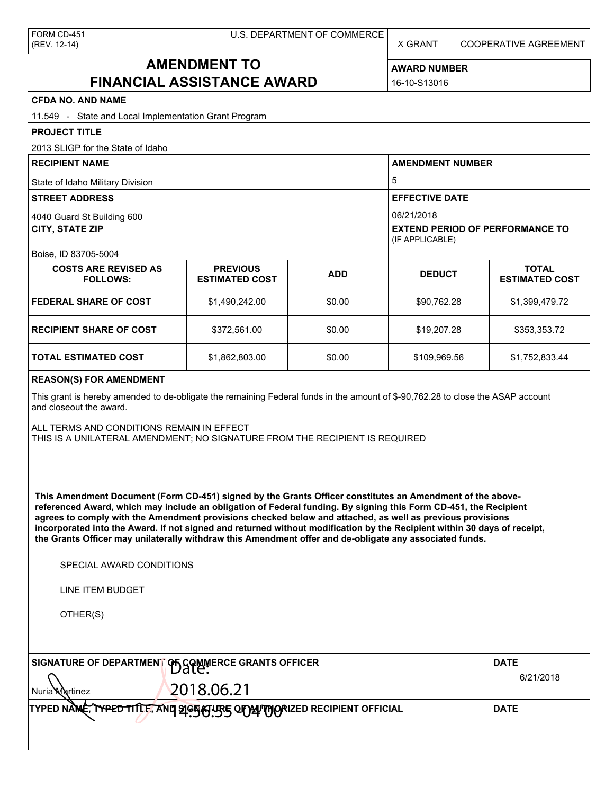X GRANT COOPERATIVE AGREEMENT

# **AMENDMENT TO FINANCIAL ASSISTANCE AWARD**

**AWARD NUMBER** 16-10-S13016

| <b>CFDA NO. AND NAME</b>                                                                                                                                                                                                                                                                                                                                                                                                                                                                                                                                                                                                                      |                                                            |                          |                                                           |                                       |  |  |
|-----------------------------------------------------------------------------------------------------------------------------------------------------------------------------------------------------------------------------------------------------------------------------------------------------------------------------------------------------------------------------------------------------------------------------------------------------------------------------------------------------------------------------------------------------------------------------------------------------------------------------------------------|------------------------------------------------------------|--------------------------|-----------------------------------------------------------|---------------------------------------|--|--|
| 11.549 - State and Local Implementation Grant Program                                                                                                                                                                                                                                                                                                                                                                                                                                                                                                                                                                                         |                                                            |                          |                                                           |                                       |  |  |
| <b>PROJECT TITLE</b>                                                                                                                                                                                                                                                                                                                                                                                                                                                                                                                                                                                                                          |                                                            |                          |                                                           |                                       |  |  |
| 2013 SLIGP for the State of Idaho                                                                                                                                                                                                                                                                                                                                                                                                                                                                                                                                                                                                             |                                                            |                          |                                                           |                                       |  |  |
| <b>RECIPIENT NAME</b>                                                                                                                                                                                                                                                                                                                                                                                                                                                                                                                                                                                                                         |                                                            |                          | <b>AMENDMENT NUMBER</b>                                   |                                       |  |  |
| State of Idaho Military Division                                                                                                                                                                                                                                                                                                                                                                                                                                                                                                                                                                                                              |                                                            |                          | 5                                                         |                                       |  |  |
| <b>STREET ADDRESS</b>                                                                                                                                                                                                                                                                                                                                                                                                                                                                                                                                                                                                                         |                                                            |                          | <b>EFFECTIVE DATE</b>                                     |                                       |  |  |
| 4040 Guard St Building 600                                                                                                                                                                                                                                                                                                                                                                                                                                                                                                                                                                                                                    |                                                            |                          | 06/21/2018                                                |                                       |  |  |
| <b>CITY, STATE ZIP</b>                                                                                                                                                                                                                                                                                                                                                                                                                                                                                                                                                                                                                        |                                                            |                          | <b>EXTEND PERIOD OF PERFORMANCE TO</b><br>(IF APPLICABLE) |                                       |  |  |
| Boise, ID 83705-5004                                                                                                                                                                                                                                                                                                                                                                                                                                                                                                                                                                                                                          |                                                            |                          |                                                           |                                       |  |  |
| <b>COSTS ARE REVISED AS</b><br><b>FOLLOWS:</b>                                                                                                                                                                                                                                                                                                                                                                                                                                                                                                                                                                                                | <b>PREVIOUS</b><br><b>ESTIMATED COST</b>                   | <b>ADD</b>               | <b>DEDUCT</b>                                             | <b>TOTAL</b><br><b>ESTIMATED COST</b> |  |  |
| <b>FEDERAL SHARE OF COST</b>                                                                                                                                                                                                                                                                                                                                                                                                                                                                                                                                                                                                                  | \$1,490,242.00                                             | \$0.00                   | \$90,762.28                                               | \$1,399,479.72                        |  |  |
| <b>RECIPIENT SHARE OF COST</b>                                                                                                                                                                                                                                                                                                                                                                                                                                                                                                                                                                                                                | \$372,561.00                                               | \$0.00                   | \$19,207.28                                               | \$353,353.72                          |  |  |
| TOTAL ESTIMATED COST                                                                                                                                                                                                                                                                                                                                                                                                                                                                                                                                                                                                                          | \$1,862,803.00                                             | \$0.00                   | \$109,969.56                                              | \$1,752,833.44                        |  |  |
| <b>REASON(S) FOR AMENDMENT</b>                                                                                                                                                                                                                                                                                                                                                                                                                                                                                                                                                                                                                |                                                            |                          |                                                           |                                       |  |  |
| This grant is hereby amended to de-obligate the remaining Federal funds in the amount of \$-90,762.28 to close the ASAP account<br>and closeout the award.                                                                                                                                                                                                                                                                                                                                                                                                                                                                                    |                                                            |                          |                                                           |                                       |  |  |
| ALL TERMS AND CONDITIONS REMAIN IN EFFECT<br>THIS IS A UNILATERAL AMENDMENT; NO SIGNATURE FROM THE RECIPIENT IS REQUIRED                                                                                                                                                                                                                                                                                                                                                                                                                                                                                                                      |                                                            |                          |                                                           |                                       |  |  |
| This Amendment Document (Form CD-451) signed by the Grants Officer constitutes an Amendment of the above-<br>referenced Award, which may include an obligation of Federal funding. By signing this Form CD-451, the Recipient<br>agrees to comply with the Amendment provisions checked below and attached, as well as previous provisions<br>incorporated into the Award. If not signed and returned without modification by the Recipient within 30 days of receipt,<br>the Grants Officer may unilaterally withdraw this Amendment offer and de-obligate any associated funds.<br>SPECIAL AWARD CONDITIONS<br>LINE ITEM BUDGET<br>OTHER(S) |                                                            |                          |                                                           |                                       |  |  |
| SIGNATURE OF DEPARTMENT OF GOMMERCE GRANTS OFFICER                                                                                                                                                                                                                                                                                                                                                                                                                                                                                                                                                                                            |                                                            | <b>DATE</b><br>6/21/2018 |                                                           |                                       |  |  |
| 2018.06.21<br>Nuria <b>Ma</b> rtinez                                                                                                                                                                                                                                                                                                                                                                                                                                                                                                                                                                                                          |                                                            |                          |                                                           |                                       |  |  |
| TYPED NAME.                                                                                                                                                                                                                                                                                                                                                                                                                                                                                                                                                                                                                                   | TYPED TITLE, AND SIGHALISS OF AUTORIZED RECIPIENT OFFICIAL |                          |                                                           | <b>DATE</b>                           |  |  |